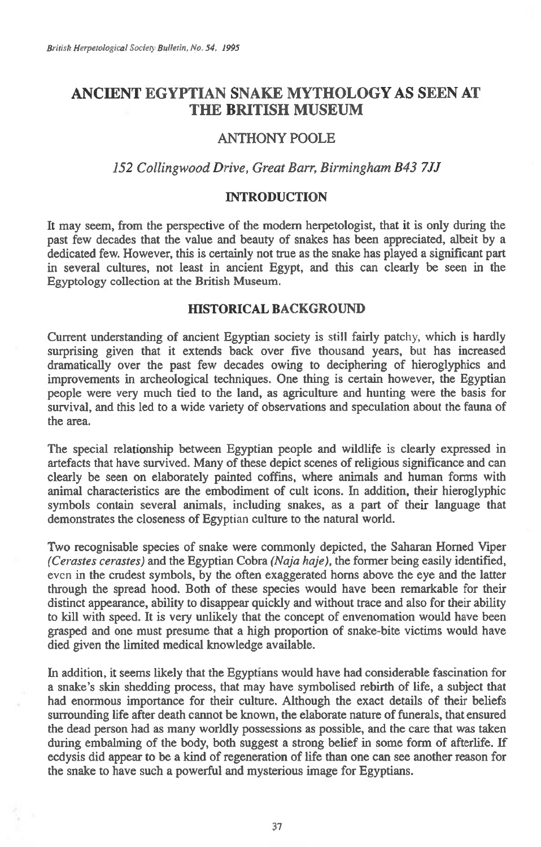# **ANCIENT EGYPTIAN SNAKE MYTHOLOGY AS SEEN AT THE BRITISH MUSEUM**

# ANTHONY POOLE

# *152 Collingwood Drive, Great Barr, Birmingham B43 7.1J*

# **INTRODUCTION**

It may seem, from the perspective of the modem herpetologist, that it is only during the past few decades that the value and beauty of snakes has been appreciated, albeit by a dedicated few. However, this is certainly not true as the snake has played a significant part in several cultures, not least in ancient Egypt, and this can clearly be seen in the Egyptology collection at the British Museum.

#### **HISTORICAL BACKGROUND**

Current understanding of ancient Egyptian society is still fairly patchy, which is hardly surprising given that it extends back over five thousand years, but has increased dramatically over the past few decades owing to deciphering of hieroglyphics and improvements in archeological techniques. One thing is certain however, the Egyptian people were very much tied to the land, as agriculture and hunting were the basis for survival, and this led to a wide variety of observations and speculation about the fauna of the area.

The special relationship between Egyptian people and wildlife is clearly expressed in artefacts that have survived. Many of these depict scenes of religious significance and can clearly be seen on elaborately painted coffins, where animals and human forms with animal characteristics are the embodiment of cult icons. In addition, their hieroglyphic symbols contain several animals, including snakes, as a part of their language that demonstrates the closeness of Egyptian culture to the natural world.

Two recognisable species of snake were commonly depicted, the Saharan Homed Viper *(Cerastes cerastes)* and the Egyptian Cobra *(Naja haje),* the former being easily identified, even in the crudest symbols, by the often exaggerated horns above the eye and the latter through the spread hood. Both of these species would have been remarkable for their distinct appearance, ability to disappear quickly and without trace and also for their ability to kill with speed. It is very unlikely that the concept of envenomation would have been grasped and one must presume that a high proportion of snake-bite victims would have died given the limited medical knowledge available.

In addition, it seems likely that the Egyptians would have had considerable fascination for a snake's skin shedding process, that may have symbolised rebirth of life, a subject that had enormous importance for their culture. Although the exact details of their beliefs surrounding life after death cannot be known, the elaborate nature of funerals, that ensured the dead person had as many worldly possessions as possible, and the care that was taken during embalming of the body, both suggest a strong belief in some form of afterlife. If ecdysis did appear to be a kind of regeneration of life than one can see another reason for the snake to have such a powerful and mysterious image for Egyptians.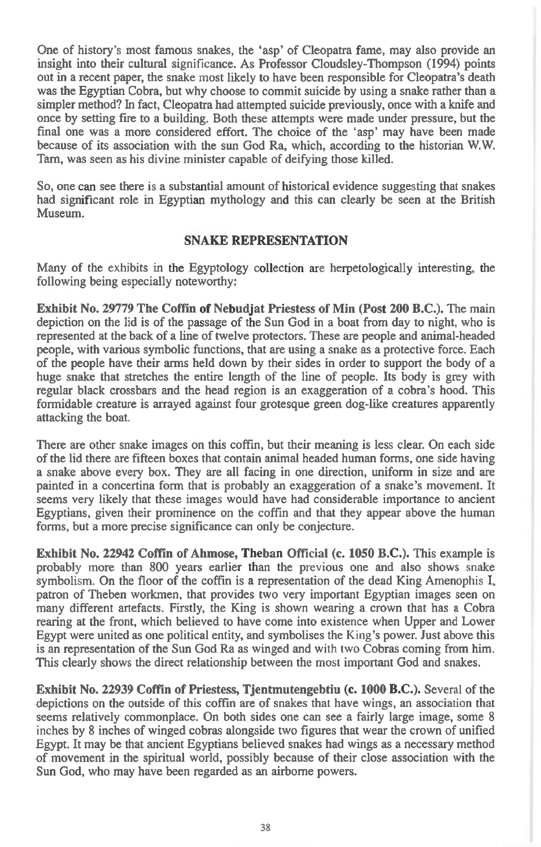One of history's most famous snakes, the 'asp' of Cleopatra fame, may also provide an insight into their cultural significance. As Professor Cloudsley-Thompson (1994) points out in a recent paper, the snake most likely to have been responsible for Cleopatra's death was the Egyptian Cobra, but why choose to commit suicide by using a snake rather than a simpler method? In fact, Cleopatra had attempted suicide previously, once with a knife and once by setting fire to a building. Both these attempts were made under pressure, but the final one was a more considered effort. The choice of the 'asp' may have been made because of its association with the sun God Ra, which, according to the historian W.W. Tam, was seen as his divine minister capable of deifying those killed.

So, one can see there is a substantial amount of historical evidence suggesting that snakes had significant role in Egyptian mythology and this can clearly be seen at the British Museum.

#### **SNAKE REPRESENTATION**

Many of the exhibits in the Egyptology collection are herpetologically interesting, the following being especially noteworthy:

**Exhibit No. 29779 The Coffin of Nebudjat Priestess of Min (Post 200 B.C.).** The main depiction on the lid is of the passage of the Sun God in a boat from day to night, who is represented at the back of a line of twelve protectors. These are people and animal-headed people, with various symbolic functions, that are using a snake as a protective force. Each of the people have their arms held down by their sides in order to support the body of a huge snake that stretches the entire length of the line of people. Its body is grey with regular black crossbars and the head region is an exaggeration of a cobra's hood. This formidable creature is arrayed against four grotesque green dog-like creatures apparently attacking the boat.

There are other snake images on this coffin, but their meaning is less clear. On each side of the lid there are fifteen boxes that contain animal headed human forms, one side having a snake above every box. They are all facing in one direction, uniform in size and are painted in a concertina form that is probably an exaggeration of a snake's movement. It seems very likely that these images would have had considerable importance to ancient Egyptians, given their prominence on the coffin and that they appear above the human forms, but a more precise significance can only be conjecture.

**Exhibit No. 22942 Coffin of Ahmose, Theban Official (c. 1050 B.C.).** This example is probably more than 800 years earlier than the previous one and also shows snake symbolism. On the floor of the coffin is a representation of the dead King Amenophis I, patron of Theben workmen, that provides two very important Egyptian images seen on many different artefacts. Firstly, the King is shown wearing a crown that has a Cobra rearing at the front, which believed to have come into existence when Upper and Lower Egypt were united as one political entity, and symbolises the King's power. Just above this is an representation of the Sun God Ra as winged and with two Cobras coming from him. This clearly shows the direct relationship between the most important God and snakes.

**Exhibit No. 22939 Coffin of Priestess, Tjentmutengebtiu (c. 1000 B.C.).** Several of the depictions on the outside of this coffin are of snakes that have wings, an association that seems relatively commonplace. On both sides one can see a fairly large image, some 8 inches by 8 inches of winged cobras alongside two figures that wear the crown of unified Egypt. It may be that ancient Egyptians believed snakes had wings as a necessary method of movement in the spiritual world, possibly because of their close association with the Sun God, who may have been regarded as an airborne powers.